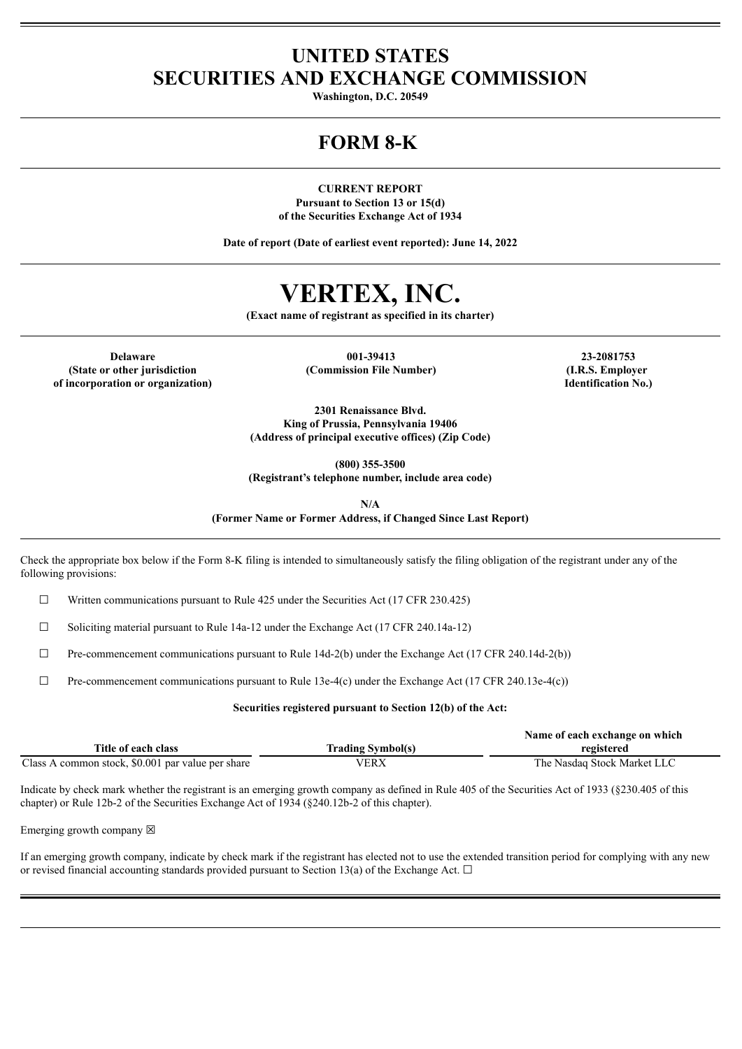## **UNITED STATES SECURITIES AND EXCHANGE COMMISSION**

**Washington, D.C. 20549**

# **FORM 8-K**

**CURRENT REPORT Pursuant to Section 13 or 15(d) of the Securities Exchange Act of 1934**

**Date of report (Date of earliest event reported): June 14, 2022**

# **VERTEX, INC.**

**(Exact name of registrant as specified in its charter)**

**(State or other jurisdiction of incorporation or organization)**

**Delaware 001-39413 23-2081753 (Commission File Number) (I.R.S. Employer**

**Identification No.)**

**2301 Renaissance Blvd. King of Prussia, Pennsylvania 19406 (Address of principal executive offices) (Zip Code)**

**(800) 355-3500**

**(Registrant's telephone number, include area code)**

**N/A**

**(Former Name or Former Address, if Changed Since Last Report)**

Check the appropriate box below if the Form 8-K filing is intended to simultaneously satisfy the filing obligation of the registrant under any of the following provisions:

 $\Box$  Written communications pursuant to Rule 425 under the Securities Act (17 CFR 230.425)

☐ Soliciting material pursuant to Rule 14a-12 under the Exchange Act (17 CFR 240.14a-12)

 $\Box$  Pre-commencement communications pursuant to Rule 14d-2(b) under the Exchange Act (17 CFR 240.14d-2(b))

 $\Box$  Pre-commencement communications pursuant to Rule 13e-4(c) under the Exchange Act (17 CFR 240.13e-4(c))

#### **Securities registered pursuant to Section 12(b) of the Act:**

|                                                   |                          | Name of each exchange on which |
|---------------------------------------------------|--------------------------|--------------------------------|
| Title of each class                               | <b>Trading Symbol(s)</b> | registered                     |
| Class A common stock, \$0.001 par value per share | VERX                     | The Nasdaq Stock Market LLC    |

Indicate by check mark whether the registrant is an emerging growth company as defined in Rule 405 of the Securities Act of 1933 (§230.405 of this chapter) or Rule 12b-2 of the Securities Exchange Act of 1934 (§240.12b-2 of this chapter).

Emerging growth company  $\boxtimes$ 

If an emerging growth company, indicate by check mark if the registrant has elected not to use the extended transition period for complying with any new or revised financial accounting standards provided pursuant to Section 13(a) of the Exchange Act.  $\Box$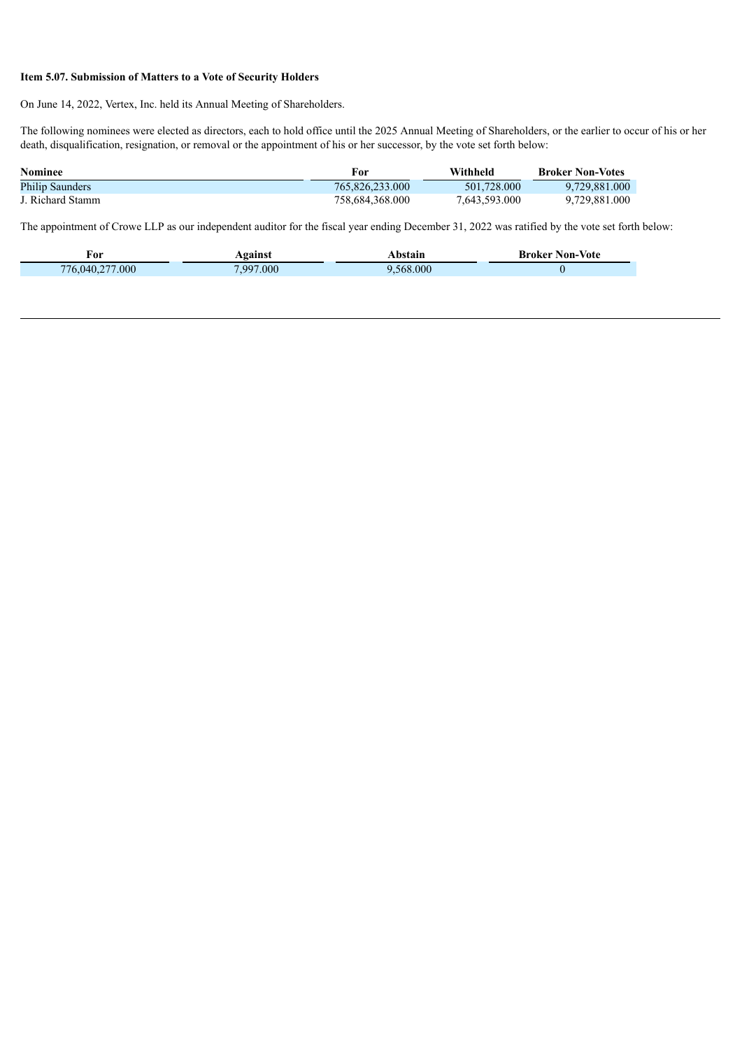### **Item 5.07. Submission of Matters to a Vote of Security Holders**

On June 14, 2022, Vertex, Inc. held its Annual Meeting of Shareholders.

The following nominees were elected as directors, each to hold office until the 2025 Annual Meeting of Shareholders, or the earlier to occur of his or her death, disqualification, resignation, or removal or the appointment of his or her successor, by the vote set forth below:

| <b>Nominee</b>         | For             | Withheld      | <b>Broker Non-Votes</b> |
|------------------------|-----------------|---------------|-------------------------|
| <b>Philip Saunders</b> | 765,826,233,000 | 501.728.000   | 9.729.881.000           |
| J. Richard Stamm       | 758.684.368.000 | 7,643,593.000 | 9.729.881.000           |

The appointment of Crowe LLP as our independent auditor for the fiscal year ending December 31, 2022 was ratified by the vote set forth below:

| †01<br>$\sim$ $\sim$   |                            | .    | vote<br>$^{\circ}$ $\sim$ $\sim$ |
|------------------------|----------------------------|------|----------------------------------|
| 000<br>$\overline{16}$ | .000<br>$\sim$ 99 $\prime$ | .000 |                                  |